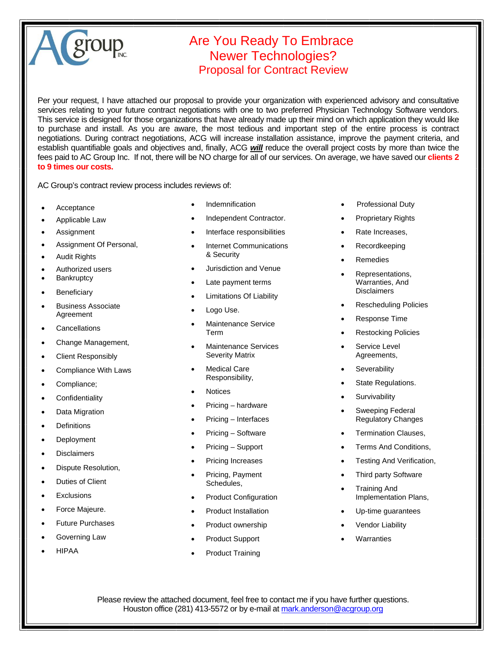## group

## Are You Ready To Embrace Newer Technologies? Proposal for Contract Review

Per your request, I have attached our proposal to provide your organization with experienced advisory and consultative services relating to your future contract negotiations with one to two preferred Physician Technology Software vendors. This service is designed for those organizations that have already made up their mind on which application they would like to purchase and install. As you are aware, the most tedious and important step of the entire process is contract negotiations. During contract negotiations, ACG will increase installation assistance, improve the payment criteria, and establish quantifiable goals and objectives and, finally, ACG *will* reduce the overall project costs by more than twice the fees paid to AC Group Inc. If not, there will be NO charge for all of our services. On average, we have saved our **clients 2 to 9 times our costs.** 

AC Group's contract review process includes reviews of:

- **Acceptance**
- Applicable Law
- **Assignment**
- Assignment Of Personal,
- Audit Rights
- Authorized users
- **Bankruptcy**
- **Beneficiary**
- Business Associate Agreement
- **Cancellations**
- Change Management,
- Client Responsibly
- Compliance With Laws
- Compliance;
- **Confidentiality**
- Data Migration
- **Definitions**
- **Deployment**
- **Disclaimers**
- Dispute Resolution,
- Duties of Client
- **Exclusions**
- Force Majeure.
- Future Purchases
- Governing Law
- HIPAA
- Indemnification
- Independent Contractor.
- Interface responsibilities
- Internet Communications & Security
- Jurisdiction and Venue
- Late payment terms
- Limitations Of Liability
- Logo Use.
- Maintenance Service Term
- Maintenance Services Severity Matrix
- Medical Care Responsibility,
- **Notices**
- Pricing hardware
- Pricing Interfaces
- Pricing Software
- Pricing Support
- Pricing Increases
- Pricing, Payment Schedules,
- Product Configuration
- Product Installation
- Product ownership
- Product Support
- Product Training
- Professional Duty
- Proprietary Rights
- Rate Increases,
- Recordkeeping
- Remedies
- Representations, Warranties, And **Disclaimers**
- Rescheduling Policies
- Response Time
- Restocking Policies
- Service Level Agreements,
- **Severability**
- State Regulations.
- **Survivability**
- Sweeping Federal Regulatory Changes
- Termination Clauses,
- Terms And Conditions,
- Testing And Verification,
- Third party Software
- Training And Implementation Plans,
- Up-time guarantees
- **Vendor Liability**
- **Warranties**

Please review the attached document, feel free to contact me if you have further questions. Houston office (281) 413-5572 or by e-mail at mark.anderson@acgroup.org